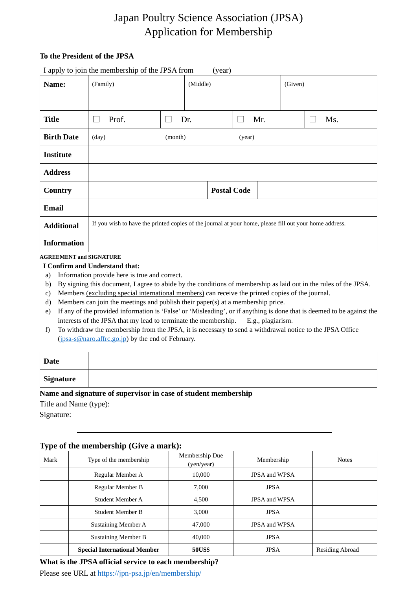# Japan Poultry Science Association (JPSA) Application for Membership

## **To the President of the JPSA**

|                    | I apply to join the membership of the JPSA from                                                        |         | (year)   |                    |     |         |     |
|--------------------|--------------------------------------------------------------------------------------------------------|---------|----------|--------------------|-----|---------|-----|
| Name:              | (Family)                                                                                               |         | (Middle) |                    |     | (Given) |     |
|                    |                                                                                                        |         |          |                    |     |         |     |
| <b>Title</b>       | Prof.                                                                                                  |         | Dr.      | $\mathbf{L}$       | Mr. |         | Ms. |
| <b>Birth Date</b>  | $\text{(day)}$                                                                                         | (month) |          | (year)             |     |         |     |
| <b>Institute</b>   |                                                                                                        |         |          |                    |     |         |     |
| <b>Address</b>     |                                                                                                        |         |          |                    |     |         |     |
| Country            |                                                                                                        |         |          | <b>Postal Code</b> |     |         |     |
| <b>Email</b>       |                                                                                                        |         |          |                    |     |         |     |
| <b>Additional</b>  | If you wish to have the printed copies of the journal at your home, please fill out your home address. |         |          |                    |     |         |     |
| <b>Information</b> |                                                                                                        |         |          |                    |     |         |     |

#### **AGREEMENT and SIGNATURE**

- **I Confirm and Understand that:**
- a) Information provide here is true and correct.
- b) By signing this document, I agree to abide by the conditions of membership as laid out in the rules of the JPSA.
- c) Members (excluding special international members) can receive the printed copies of the journal.
- d) Members can join the meetings and publish their paper(s) at a membership price.
- e) If any of the provided information is 'False' or 'Misleading', or if anything is done that is deemed to be against the interests of the JPSA that my lead to terminate the membership. E.g., plagiarism.
- f) To withdraw the membership from the JPSA, it is necessary to send a withdrawal notice to the JPSA Office [\(jpsa-s@naro.affrc.go.jp\)](mailto:jpsa-s@naro.affrc.go.jp) by the end of February.

| Date             |  |
|------------------|--|
| <b>Signature</b> |  |

## **Name and signature of supervisor in case of student membership**

Title and Name (type):

Signature:

# **Type of the membership (Give a mark):**

| Mark | Type of the membership              | Membership Due<br>(yen/year) | Membership           | <b>Notes</b>           |
|------|-------------------------------------|------------------------------|----------------------|------------------------|
|      | Regular Member A                    | 10,000                       | <b>JPSA and WPSA</b> |                        |
|      | Regular Member B                    | 7.000<br><b>JPSA</b>         |                      |                        |
|      | Student Member A                    | 4,500                        | <b>JPSA</b> and WPSA |                        |
|      | <b>Student Member B</b>             | 3,000                        | <b>JPSA</b>          |                        |
|      | Sustaining Member A                 | 47,000                       | <b>JPSA and WPSA</b> |                        |
|      | <b>Sustaining Member B</b>          | 40,000                       | <b>JPSA</b>          |                        |
|      | <b>Special International Member</b> | <b>50US\$</b>                | <b>JPSA</b>          | <b>Residing Abroad</b> |

#### **What is the JPSA official service to each membership?**

Please see URL at<https://jpn-psa.jp/en/membership/>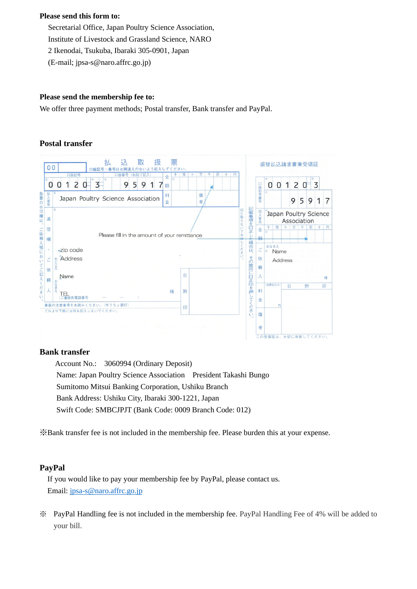#### **Please send this form to:**

Secretarial Office, Japan Poultry Science Association, Institute of Livestock and Grassland Science, NARO 2 Ikenodai, Tsukuba, Ibaraki 305-0901, Japan (E-mail; jpsa-s@naro.affrc.go.jp)

#### **Please send the membership fee to:**

We offer three payment methods; Postal transfer, Bank transfer and PayPal.

## **Postal transfer**

| 00                 | 票<br>取<br>扱<br>认<br>才<br>のないよう記入してください。<br>口座記号<br>百二十<br><b>1円</b><br>万<br>$+$<br>口座記号<br>(右詰で記入)<br>百<br>$+$<br>口座番号<br>千 |   |        |                      |        | 振替払込請求書兼受領証       |                                      |   |       |  |
|--------------------|-----------------------------------------------------------------------------------------------------------------------------|---|--------|----------------------|--------|-------------------|--------------------------------------|---|-------|--|
| U                  | 金<br>5<br>2<br>3<br>9<br>9<br>1<br>O<br>額                                                                                   |   |        |                      |        | 0<br>0            | $\mathsf{S}$<br>1                    | 0 | 3     |  |
| 各票の※印欄は<br>加入者名    | 料<br>Japan Poultry Science Association<br>金                                                                                 |   | 備<br>考 |                      | 口座記号番号 |                   | 9<br>5                               | 9 | 1     |  |
| 通                  | 寮                                                                                                                           |   |        | 記載事項を訂正し<br>切<br>り取ら | 加入者名   |                   | Japan Poultry Science<br>Association |   |       |  |
| 信<br>ご依頼<br>欄      | Please fill in the amount of your remittance.                                                                               |   |        | $\overline{C}$<br>お出 | 金<br>額 | 百<br>千<br>驱       | 1万 1千<br>+                           |   | 百二十二円 |  |
| 人様に<br>٠           | $\overline{\tau}$ zip code                                                                                                  |   |        | た場合は、<br>ださ          | ご      | おなまえ<br>聚<br>Name |                                      |   |       |  |
| お<br>ご<br>UN<br>依  | Address<br>\$<br>こころ                                                                                                        |   |        | U)                   | 依<br>頼 |                   | Address                              |   |       |  |
| 頼                  | Name<br>书                                                                                                                   | 日 |        |                      |        |                   |                                      |   | 様     |  |
| てご記入くださ<br>ᄉ<br>U١ | 様<br>⊢<br>先電話番号                                                                                                             | 附 |        | その箇所に訂正印を押してください     | 料<br>金 | (消費税込み)           | Θ                                    | 附 | 印     |  |
|                    | 裏面の注意事項をお読みください。(ゆうちょ銀行)<br>これより下部には何も記入しないでください。                                                                           | 印 |        |                      | 備      | 円                 |                                      |   |       |  |
|                    |                                                                                                                             |   |        |                      | 考      |                   |                                      |   |       |  |
|                    |                                                                                                                             |   |        |                      |        |                   | この受領証は、大切に保管してください。                  |   |       |  |

#### **Bank transfer**

Account No.: 3060994 (Ordinary Deposit) Name: Japan Poultry Science Association President Takashi Bungo Sumitomo Mitsui Banking Corporation, Ushiku Branch Bank Address: Ushiku City, Ibaraki 300-1221, Japan Swift Code: SMBCJPJT (Bank Code: 0009 Branch Code: 012)

※Bank transfer fee is not included in the membership fee. Please burden this at your expense.

#### **PayPal**

If you would like to pay your membership fee by PayPal, please contact us. Email: [jpsa-s@naro.affrc.go.jp](mailto:jpsa-s@naro.affrc.go.jp)

※ PayPal Handling fee is not included in the membership fee. PayPal Handling Fee of 4% will be added to your bill.